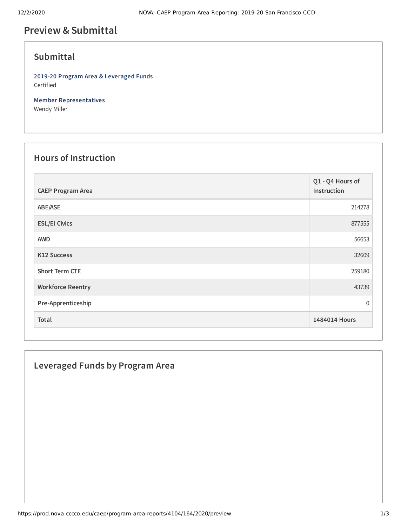# **Preview &Submittal**

## **Submittal**

**2019-20 Program Area & Leveraged Funds** Certified

**Member Representatives** Wendy Miller

### **Hours of Instruction**

| <b>CAEP Program Area</b> | Q1 - Q4 Hours of<br>Instruction |
|--------------------------|---------------------------------|
| ABE/ASE                  | 214278                          |
| <b>ESL/El Civics</b>     | 877555                          |
| <b>AWD</b>               | 56653                           |
| <b>K12 Success</b>       | 32609                           |
| <b>Short Term CTE</b>    | 259180                          |
| <b>Workforce Reentry</b> | 43739                           |
| Pre-Apprenticeship       | $\overline{0}$                  |
| Total                    | 1484014 Hours                   |

### **Leveraged Funds by Program Area**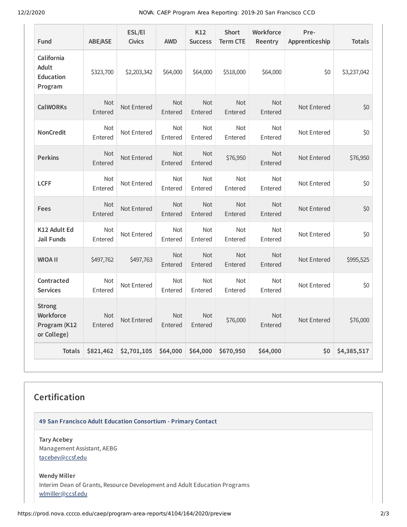12/2/2020 NOVA: CAEP Program Area Reporting: 2019-20 San Francisco CCD

| Fund                                                      | ABE/ASE               | ESL/El<br><b>Civics</b> | <b>AWD</b>            | K12<br><b>Success</b> | <b>Short</b><br><b>Term CTE</b> | Workforce<br>Reentry  | Pre-<br>Apprenticeship | <b>Totals</b> |
|-----------------------------------------------------------|-----------------------|-------------------------|-----------------------|-----------------------|---------------------------------|-----------------------|------------------------|---------------|
| California<br>Adult<br><b>Education</b><br>Program        | \$323,700             | \$2,203,342             | \$64,000              | \$64,000              | \$518,000                       | \$64,000              | \$0                    | \$3,237,042   |
| <b>CalWORKs</b>                                           | <b>Not</b><br>Entered | Not Entered             | <b>Not</b><br>Entered | <b>Not</b><br>Entered | <b>Not</b><br>Entered           | <b>Not</b><br>Entered | Not Entered            | \$0           |
| <b>NonCredit</b>                                          | Not<br>Entered        | Not Entered             | Not<br>Entered        | Not<br>Entered        | <b>Not</b><br>Entered           | <b>Not</b><br>Entered | Not Entered            | \$0           |
| <b>Perkins</b>                                            | <b>Not</b><br>Entered | Not Entered             | <b>Not</b><br>Entered | <b>Not</b><br>Entered | \$76,950                        | <b>Not</b><br>Entered | Not Entered            | \$76,950      |
| <b>LCFF</b>                                               | <b>Not</b><br>Entered | Not Entered             | <b>Not</b><br>Entered | Not<br>Entered        | <b>Not</b><br>Entered           | <b>Not</b><br>Entered | Not Entered            | \$0           |
| <b>Fees</b>                                               | <b>Not</b><br>Entered | Not Entered             | <b>Not</b><br>Entered | <b>Not</b><br>Entered | <b>Not</b><br>Entered           | <b>Not</b><br>Entered | Not Entered            | \$0           |
| K12 Adult Ed<br><b>Jail Funds</b>                         | <b>Not</b><br>Entered | Not Entered             | <b>Not</b><br>Entered | <b>Not</b><br>Entered | <b>Not</b><br>Entered           | <b>Not</b><br>Entered | Not Entered            | \$0           |
| <b>WIOA II</b>                                            | \$497,762             | \$497,763               | <b>Not</b><br>Entered | <b>Not</b><br>Entered | <b>Not</b><br>Entered           | <b>Not</b><br>Entered | Not Entered            | \$995,525     |
| Contracted<br><b>Services</b>                             | <b>Not</b><br>Entered | Not Entered             | <b>Not</b><br>Entered | <b>Not</b><br>Entered | <b>Not</b><br>Entered           | Not<br>Entered        | Not Entered            | \$0           |
| <b>Strong</b><br>Workforce<br>Program (K12<br>or College) | <b>Not</b><br>Entered | Not Entered             | <b>Not</b><br>Entered | <b>Not</b><br>Entered | \$76,000                        | Not<br>Entered        | Not Entered            | \$76,000      |
| <b>Totals</b>                                             | \$821,462             | \$2,701,105             | \$64,000              | \$64,000              | \$670,950                       | \$64,000              | \$0                    | \$4,385,517   |

# **Certification**

**49 San Francisco Adult Education Consortium - Primary Contact**

**Tary Acebey** Management Assistant, AEBG [tacebey@ccsf.edu](mailto:tacebey@ccsf.edu)

**Wendy Miller** Interim Dean of Grants, Resource Development and Adult Education Programs [wlmiller@ccsf.edu](mailto:wlmiller@ccsf.edu)